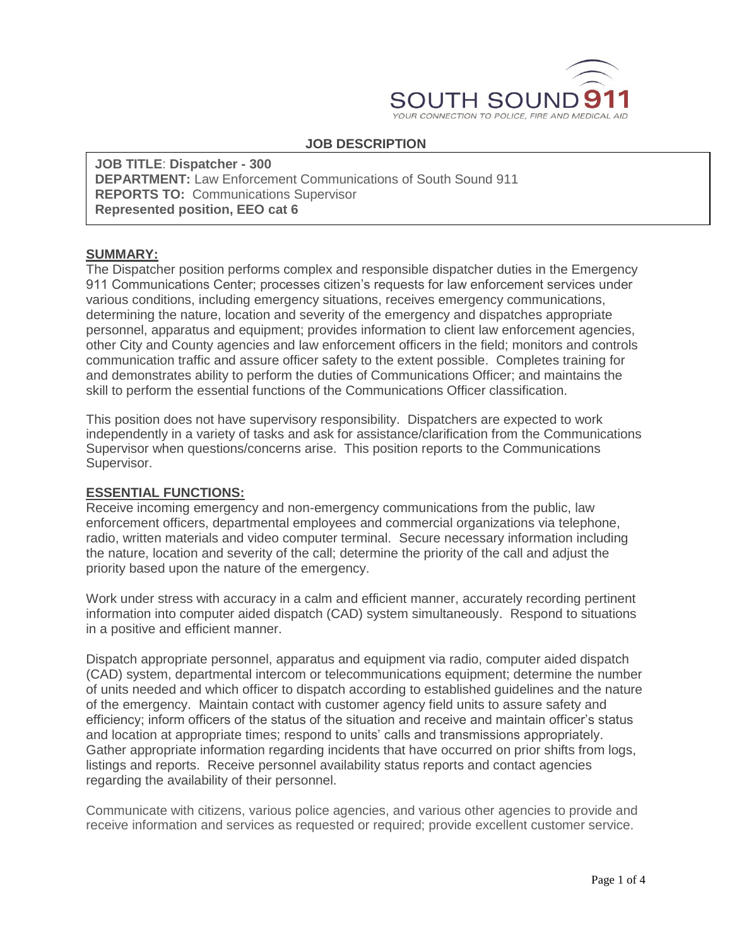

## **JOB DESCRIPTION**

**JOB TITLE**: **Dispatcher - 300 DEPARTMENT:** Law Enforcement Communications of South Sound 911 **REPORTS TO:** Communications Supervisor **Represented position, EEO cat 6**

#### **SUMMARY:**

The Dispatcher position performs complex and responsible dispatcher duties in the Emergency 911 Communications Center; processes citizen's requests for law enforcement services under various conditions, including emergency situations, receives emergency communications, determining the nature, location and severity of the emergency and dispatches appropriate personnel, apparatus and equipment; provides information to client law enforcement agencies, other City and County agencies and law enforcement officers in the field; monitors and controls communication traffic and assure officer safety to the extent possible. Completes training for and demonstrates ability to perform the duties of Communications Officer; and maintains the skill to perform the essential functions of the Communications Officer classification.

This position does not have supervisory responsibility. Dispatchers are expected to work independently in a variety of tasks and ask for assistance/clarification from the Communications Supervisor when questions/concerns arise. This position reports to the Communications Supervisor.

#### **ESSENTIAL FUNCTIONS:**

Receive incoming emergency and non-emergency communications from the public, law enforcement officers, departmental employees and commercial organizations via telephone, radio, written materials and video computer terminal. Secure necessary information including the nature, location and severity of the call; determine the priority of the call and adjust the priority based upon the nature of the emergency.

Work under stress with accuracy in a calm and efficient manner, accurately recording pertinent information into computer aided dispatch (CAD) system simultaneously. Respond to situations in a positive and efficient manner.

Dispatch appropriate personnel, apparatus and equipment via radio, computer aided dispatch (CAD) system, departmental intercom or telecommunications equipment; determine the number of units needed and which officer to dispatch according to established guidelines and the nature of the emergency. Maintain contact with customer agency field units to assure safety and efficiency; inform officers of the status of the situation and receive and maintain officer's status and location at appropriate times; respond to units' calls and transmissions appropriately. Gather appropriate information regarding incidents that have occurred on prior shifts from logs, listings and reports. Receive personnel availability status reports and contact agencies regarding the availability of their personnel.

Communicate with citizens, various police agencies, and various other agencies to provide and receive information and services as requested or required; provide excellent customer service.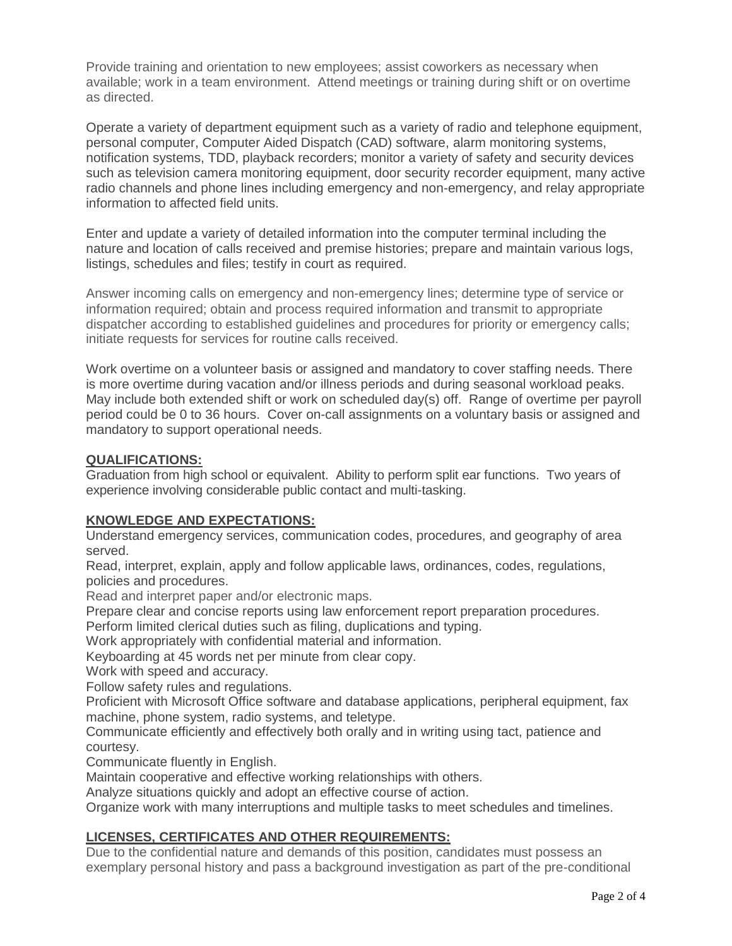Provide training and orientation to new employees; assist coworkers as necessary when available; work in a team environment. Attend meetings or training during shift or on overtime as directed.

Operate a variety of department equipment such as a variety of radio and telephone equipment, personal computer, Computer Aided Dispatch (CAD) software, alarm monitoring systems, notification systems, TDD, playback recorders; monitor a variety of safety and security devices such as television camera monitoring equipment, door security recorder equipment, many active radio channels and phone lines including emergency and non-emergency, and relay appropriate information to affected field units.

Enter and update a variety of detailed information into the computer terminal including the nature and location of calls received and premise histories; prepare and maintain various logs, listings, schedules and files; testify in court as required.

Answer incoming calls on emergency and non-emergency lines; determine type of service or information required; obtain and process required information and transmit to appropriate dispatcher according to established guidelines and procedures for priority or emergency calls; initiate requests for services for routine calls received.

Work overtime on a volunteer basis or assigned and mandatory to cover staffing needs. There is more overtime during vacation and/or illness periods and during seasonal workload peaks. May include both extended shift or work on scheduled day(s) off. Range of overtime per payroll period could be 0 to 36 hours. Cover on-call assignments on a voluntary basis or assigned and mandatory to support operational needs.

# **QUALIFICATIONS:**

Graduation from high school or equivalent. Ability to perform split ear functions. Two years of experience involving considerable public contact and multi-tasking.

### **KNOWLEDGE AND EXPECTATIONS:**

Understand emergency services, communication codes, procedures, and geography of area served.

Read, interpret, explain, apply and follow applicable laws, ordinances, codes, regulations, policies and procedures.

Read and interpret paper and/or electronic maps.

Prepare clear and concise reports using law enforcement report preparation procedures.

Perform limited clerical duties such as filing, duplications and typing.

Work appropriately with confidential material and information.

Keyboarding at 45 words net per minute from clear copy.

Work with speed and accuracy.

Follow safety rules and regulations.

Proficient with Microsoft Office software and database applications, peripheral equipment, fax machine, phone system, radio systems, and teletype.

Communicate efficiently and effectively both orally and in writing using tact, patience and courtesy.

Communicate fluently in English.

Maintain cooperative and effective working relationships with others.

Analyze situations quickly and adopt an effective course of action.

Organize work with many interruptions and multiple tasks to meet schedules and timelines.

# **LICENSES, CERTIFICATES AND OTHER REQUIREMENTS:**

Due to the confidential nature and demands of this position, candidates must possess an exemplary personal history and pass a background investigation as part of the pre-conditional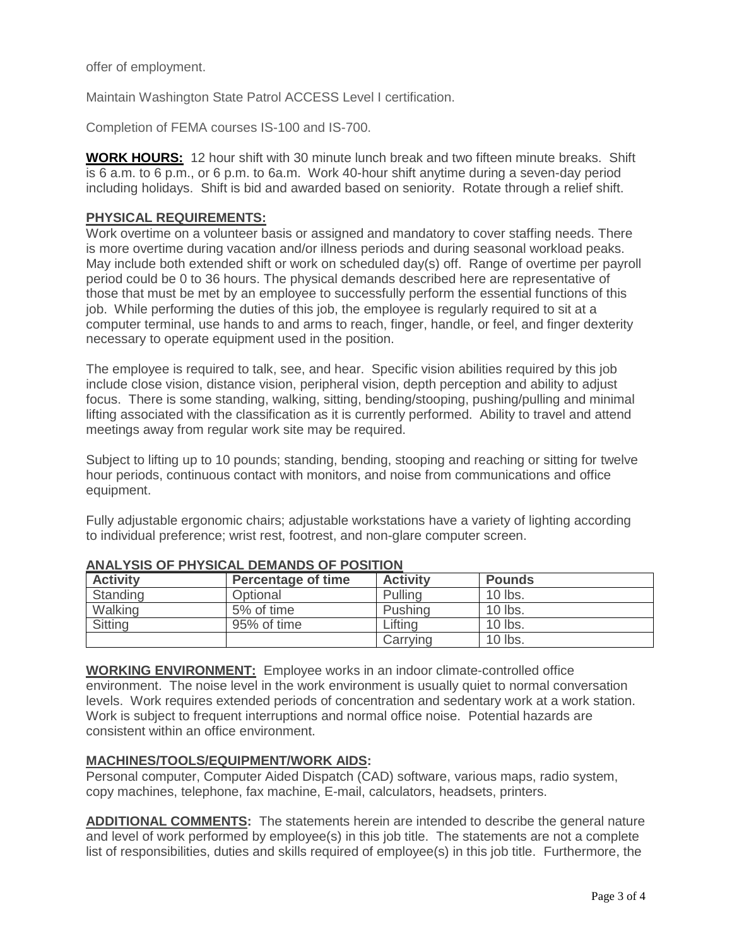offer of employment.

Maintain Washington State Patrol ACCESS Level I certification.

Completion of FEMA courses IS-100 and IS-700.

**WORK HOURS:** 12 hour shift with 30 minute lunch break and two fifteen minute breaks. Shift is 6 a.m. to 6 p.m., or 6 p.m. to 6a.m. Work 40-hour shift anytime during a seven-day period including holidays. Shift is bid and awarded based on seniority. Rotate through a relief shift.

### **PHYSICAL REQUIREMENTS:**

Work overtime on a volunteer basis or assigned and mandatory to cover staffing needs. There is more overtime during vacation and/or illness periods and during seasonal workload peaks. May include both extended shift or work on scheduled day(s) off. Range of overtime per payroll period could be 0 to 36 hours. The physical demands described here are representative of those that must be met by an employee to successfully perform the essential functions of this job. While performing the duties of this job, the employee is regularly required to sit at a computer terminal, use hands to and arms to reach, finger, handle, or feel, and finger dexterity necessary to operate equipment used in the position.

The employee is required to talk, see, and hear. Specific vision abilities required by this job include close vision, distance vision, peripheral vision, depth perception and ability to adjust focus. There is some standing, walking, sitting, bending/stooping, pushing/pulling and minimal lifting associated with the classification as it is currently performed. Ability to travel and attend meetings away from regular work site may be required.

Subject to lifting up to 10 pounds; standing, bending, stooping and reaching or sitting for twelve hour periods, continuous contact with monitors, and noise from communications and office equipment.

Fully adjustable ergonomic chairs; adjustable workstations have a variety of lighting according to individual preference; wrist rest, footrest, and non-glare computer screen.

| <b>Activity</b> | <b>Percentage of time</b> | <b>Activity</b> | <b>Pounds</b> |
|-----------------|---------------------------|-----------------|---------------|
| Standing        | Optional                  | Pulling         | 10 lbs.       |
| Walking         | 5% of time                | Pushing         | 10 lbs.       |
| Sitting         | 95% of time               | Lifting         | 10 lbs.       |
|                 |                           | Carrving        | 10 lbs.       |

### **ANALYSIS OF PHYSICAL DEMANDS OF POSITION**

**WORKING ENVIRONMENT:** Employee works in an indoor climate-controlled office environment. The noise level in the work environment is usually quiet to normal conversation levels. Work requires extended periods of concentration and sedentary work at a work station. Work is subject to frequent interruptions and normal office noise. Potential hazards are consistent within an office environment.

### **MACHINES/TOOLS/EQUIPMENT/WORK AIDS:**

Personal computer, Computer Aided Dispatch (CAD) software, various maps, radio system, copy machines, telephone, fax machine, E-mail, calculators, headsets, printers.

**ADDITIONAL COMMENTS:** The statements herein are intended to describe the general nature and level of work performed by employee(s) in this job title. The statements are not a complete list of responsibilities, duties and skills required of employee(s) in this job title. Furthermore, the